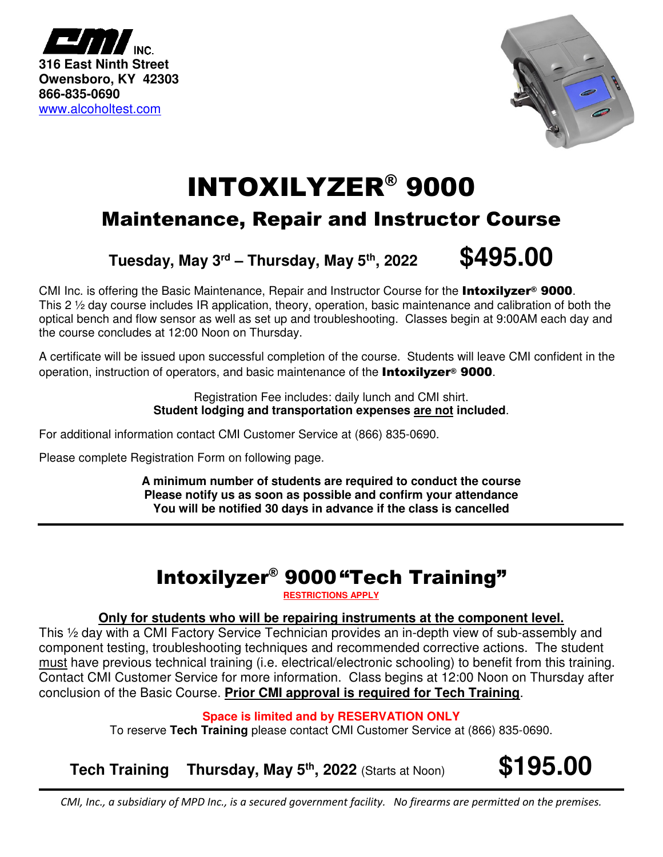



# INTOXILYZER® 9000

## Maintenance, Repair and Instructor Course

## **Tuesday, May 3rd – Thursday, May 5th, 2022 \$495.00**

CMI Inc. is offering the Basic Maintenance, Repair and Instructor Course for the **Intoxilyzer<sup>®</sup> 9000**. This 2 ½ day course includes IR application, theory, operation, basic maintenance and calibration of both the optical bench and flow sensor as well as set up and troubleshooting. Classes begin at 9:00AM each day and the course concludes at 12:00 Noon on Thursday.

A certificate will be issued upon successful completion of the course. Students will leave CMI confident in the operation, instruction of operators, and basic maintenance of the **Intoxilyzer<sup>®</sup> 9000**.

> Registration Fee includes: daily lunch and CMI shirt. **Student lodging and transportation expenses are not included**.

For additional information contact CMI Customer Service at (866) 835-0690.

Please complete Registration Form on following page.

**A minimum number of students are required to conduct the course Please notify us as soon as possible and confirm your attendance You will be notified 30 days in advance if the class is cancelled** 

# Intoxilyzer® 9000"Tech Training"

**RESTRICTIONS APPLY** 

## **Only for students who will be repairing instruments at the component level.**

This ½ day with a CMI Factory Service Technician provides an in-depth view of sub-assembly and component testing, troubleshooting techniques and recommended corrective actions. The student must have previous technical training (i.e. electrical/electronic schooling) to benefit from this training. Contact CMI Customer Service for more information. Class begins at 12:00 Noon on Thursday after conclusion of the Basic Course. **Prior CMI approval is required for Tech Training**.

## **Space is limited and by RESERVATION ONLY**

To reserve **Tech Training** please contact CMI Customer Service at (866) 835-0690.

**Tech Training Thursday, May 5th, 2022** (Starts at Noon) **\$195.00**

*CMI, Inc., a subsidiary of MPD Inc., is a secured government facility. No firearms are permitted on the premises.*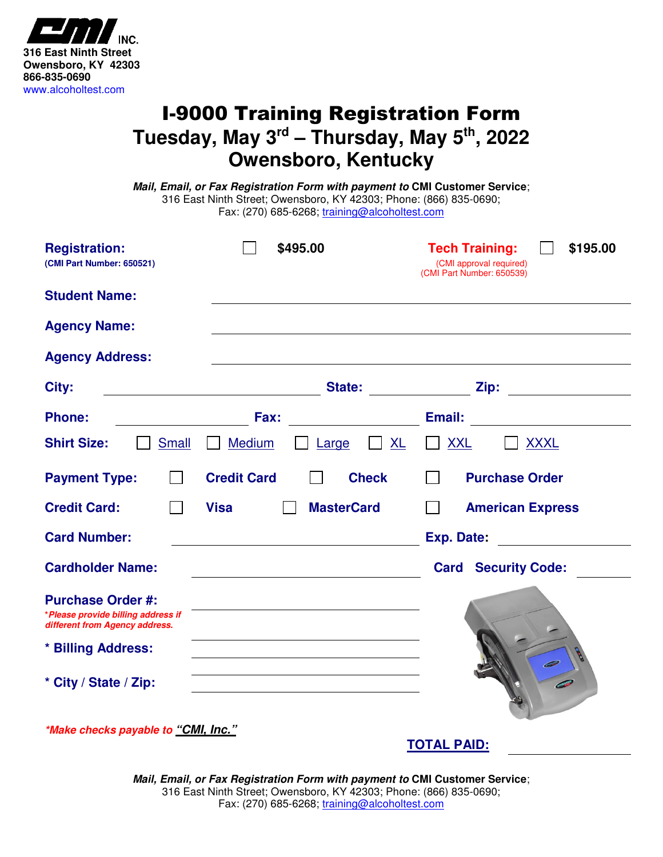

## I-9000 Training Registration Form **Tuesday, May 3rd – Thursday, May 5th, 2022 Owensboro, Kentucky**

**Mail, Email, or Fax Registration Form with payment to CMI Customer Service**; 316 East Ninth Street; Owensboro, KY 42303; Phone: (866) 835-0690; Fax: (270) 685-6268; training@alcoholtest.com

| <b>Registration:</b><br>(CMI Part Number: 650521)                                                                      | \$495.00                                                        | <b>Tech Training:</b><br>\$195.00<br>(CMI approval required)<br>(CMI Part Number: 650539) |
|------------------------------------------------------------------------------------------------------------------------|-----------------------------------------------------------------|-------------------------------------------------------------------------------------------|
| <b>Student Name:</b>                                                                                                   |                                                                 |                                                                                           |
| <b>Agency Name:</b>                                                                                                    |                                                                 |                                                                                           |
| <b>Agency Address:</b>                                                                                                 |                                                                 |                                                                                           |
| City:                                                                                                                  |                                                                 |                                                                                           |
| <b>Phone:</b><br><u> 1990 - John Barbara (</u>                                                                         | Fax:                                                            |                                                                                           |
| <b>Shirt Size:</b><br><b>Small</b>                                                                                     | <b>Medium</b><br>$\Box$ XL<br>Large                             | <b>XXL</b><br><u>XXXL</u><br>$\perp$                                                      |
| <b>Payment Type:</b>                                                                                                   | <b>Credit Card</b><br><b>Check</b>                              | <b>Purchase Order</b>                                                                     |
| <b>Credit Card:</b>                                                                                                    | <b>MasterCard</b><br>Visa                                       | <b>American Express</b>                                                                   |
| <b>Card Number:</b>                                                                                                    |                                                                 |                                                                                           |
| <b>Cardholder Name:</b>                                                                                                | <u> 1989 - Johann Barn, mars an t-Amerikaansk kommunister (</u> | <b>Card Security Code:</b>                                                                |
| <b>Purchase Order #:</b><br>*Please provide billing address if<br>different from Agency address.<br>* Billing Address: |                                                                 |                                                                                           |
| * City / State / Zip:<br><i>*Make checks payable to "CMI, Inc."</i>                                                    | <u> 1980 - Andrea Brand, amerikansk politik (d. 1980)</u>       |                                                                                           |

**Mail, Email, or Fax Registration Form with payment to CMI Customer Service**; 316 East Ninth Street; Owensboro, KY 42303; Phone: (866) 835-0690; Fax: (270) 685-6268; training@alcoholtest.com

**TOTAL PAID:**